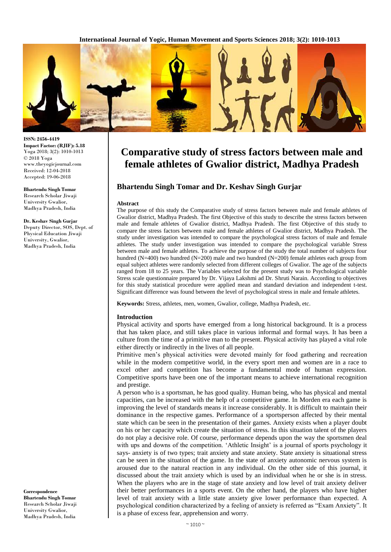**International Journal of Yogic, Human Movement and Sports Sciences 2018; 3(2): 1010-1013**



# **Comparative study of stress factors between male and female athletes of Gwalior district, Madhya Pradesh**

# **Bhartendu Singh Tomar and Dr. Keshav Singh Gurjar**

#### **Abstract**

The purpose of this study the Comparative study of stress factors between male and female athletes of Gwalior district, Madhya Pradesh. The first Objective of this study to describe the stress factors between male and female athletes of Gwalior district, Madhya Pradesh. The first Objective of this study to compare the stress factors between male and female athletes of Gwalior district, Madhya Pradesh. The study under investigation was intended to compare the psychological stress factors of male and female athletes. The study under investigation was intended to compare the psychological variable Stress between male and female athletes. To achieve the purpose of the study the total number of subjects four hundred (N=400) two hundred (N=200) male and two hundred (N=200) female athletes each group from equal subject athletes were randomly selected from different colleges of Gwalior. The age of the subjects ranged from 18 to 25 years. The Variables selected for the present study was to Psychological variable Stress scale questionnaire prepared by Dr. Vijaya Lakshmi ad Dr. Shruti Narain. According to objectives for this study statistical procedure were applied mean and standard deviation and independent t-test. Significant difference was found between the level of psychological stress in male and female athletes.

**Keywords:** Stress, athletes, men, women, Gwalior, college, Madhya Pradesh, etc.

#### **Introduction**

Physical activity and sports have emerged from a long historical background. It is a process that has taken place, and still takes place in various informal and formal ways. It has been a culture from the time of a primitive man to the present. Physical activity has played a vital role either directly or indirectly in the lives of all people.

Primitive men's physical activities were devoted mainly for food gathering and recreation while in the modern competitive world, in the every sport men and women are in a race to excel other and competition has become a fundamental mode of human expression. Competitive sports have been one of the important means to achieve international recognition and prestige.

A person who is a sportsman, he has good quality. Human being, who has physical and mental capacities, can be increased with the help of a competitive game. In Morden era each game is improving the level of standards means it increase considerably. It is difficult to maintain their dominance in the respective games. Performance of a sportsperson affected by their mental state which can be seen in the presentation of their games. Anxiety exists when a player doubt on his or her capacity which create the situation of stress. In this situation talent of the players do not play a decisive role. Of course, performance depends upon the way the sportsmen deal with ups and downs of the competition. 'Athletic Insight' is a journal of sports psychology it says- anxiety is of two types; trait anxiety and state anxiety. State anxiety is situational stress can be seen in the situation of the game. In the state of anxiety autonomic nervous system is aroused due to the natural reaction in any individual. On the other side of this journal, it discussed about the trait anxiety which is used by an individual when he or she is in stress. When the players who are in the stage of state anxiety and low level of trait anxiety deliver their better performances in a sports event. On the other hand, the players who have higher level of trait anxiety with a little state anxiety give lower performance than expected. A psychological condition characterized by a feeling of anxiety is referred as "Exam Anxiety". It is a phase of excess fear, apprehension and worry.

**ISSN: 2456-4419 Impact Factor: (RJIF): 5.18** Yoga 2018; 3(2): 1010-1013 © 2018 Yoga www.theyogicjournal.com Received: 12-04-2018 Accepted: 19-06-2018

**Bhartendu Singh Tomar** Research Scholar Jiwaji University Gwalior, Madhya Pradesh, India

### **Dr. Keshav Singh Gurjar**

Deputy Director, SOS, Dept. of Physical Education Jiwaji University, Gwalior, Madhya Pradesh, India

**Correspondence Bhartendu Singh Tomar** Research Scholar Jiwaji University Gwalior, Madhya Pradesh, India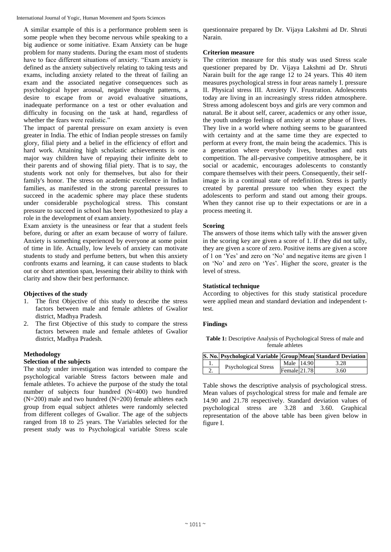International Journal of Yogic, Human Movement and Sports Sciences

A similar example of this is a performance problem seen is some people when they become nervous while speaking to a big audience or some initiative. Exam Anxiety can be huge problem for many students. During the exam most of students have to face different situations of anxiety. "Exam anxiety is defined as the anxiety subjectively relating to taking tests and exams, including anxiety related to the threat of failing an exam and the associated negative consequences such as psychological hyper arousal, negative thought patterns, a desire to escape from or avoid evaluative situations, inadequate performance on a test or other evaluation and difficulty in focusing on the task at hand, regardless of whether the fears were realistic."

The impact of parental pressure on exam anxiety is even greater in India. The ethic of Indian people stresses on family glory, filial piety and a belief in the efficiency of effort and hard work. Attaining high scholastic achievements is one major way children have of repaying their infinite debt to their parents and of showing filial piety. That is to say, the students work not only for themselves, but also for their family's honor. The stress on academic excellence in Indian families, as manifested in the strong parental pressures to succeed in the academic sphere may place these students under considerable psychological stress. This constant pressure to succeed in school has been hypothesized to play a role in the development of exam anxiety.

Exam anxiety is the uneasiness or fear that a student feels before, during or after an exam because of worry of failure. Anxiety is something experienced by everyone at some point of time in life. Actually, low levels of anxiety can motivate students to study and perfume betters, but when this anxiety confronts exams and learning, it can cause students to black out or short attention span, lessening their ability to think with clarity and show their best performance.

### **Objectives of the study**

- 1. The first Objective of this study to describe the stress factors between male and female athletes of Gwalior district, Madhya Pradesh.
- 2. The first Objective of this study to compare the stress factors between male and female athletes of Gwalior district, Madhya Pradesh.

# **Methodology**

# **Selection of the subjects**

The study under investigation was intended to compare the psychological variable Stress factors between male and female athletes. To achieve the purpose of the study the total number of subjects four hundred (N=400) two hundred  $(N=200)$  male and two hundred  $(N=200)$  female athletes each group from equal subject athletes were randomly selected from different colleges of Gwalior. The age of the subjects ranged from 18 to 25 years. The Variables selected for the present study was to Psychological variable Stress scale

questionnaire prepared by Dr. Vijaya Lakshmi ad Dr. Shruti Narain.

## **Criterion measure**

The criterion measure for this study was used Stress scale questioner prepared by Dr. Vijaya Lakshmi ad Dr. Shruti Narain built for the age range 12 to 24 years. This 40 item measures psychological stress in four areas namely I. pressure II. Physical stress III. Anxiety IV. Frustration. Adolescents today are living in an increasingly stress ridden atmosphere. Stress among adolescent boys and girls are very common and natural. Be it about self, career, academics or any other issue, the youth undergo feelings of anxiety at some phase of lives. They live in a world where nothing seems to be guaranteed with certainty and at the same time they are expected to perform at every front, the main being the academics. This is a generation where everybody lives, breathes and eats competition. The all-pervasive competitive atmosphere, be it social or academic, encourages adolescents to constantly compare themselves with their peers. Consequently, their selfimage is in a continual state of redefinition. Stress is partly created by parental pressure too when they expect the adolescents to perform and stand out among their groups. When they cannot rise up to their expectations or are in a process meeting it.

### **Scoring**

The answers of those items which tally with the answer given in the scoring key are given a score of 1. If they did not tally, they are given a score of zero. Positive items are given a score of 1 on 'Yes' and zero on 'No' and negative items are given 1 on 'No' and zero on 'Yes'. Higher the score, greater is the level of stress.

### **Statistical technique**

According to objectives for this study statistical procedure were applied mean and standard deviation and independent ttest.

### **Findings**

Table 1: Descriptive Analysis of Psychological Stress of male and female athletes

|  | S. No. Psychological Variable Group Mean Standard Deviation |                |      |
|--|-------------------------------------------------------------|----------------|------|
|  | <b>Psychological Stress</b>                                 | Male 14.90     | 3.28 |
|  |                                                             | Female $21.78$ | 3.60 |

Table shows the descriptive analysis of psychological stress. Mean values of psychological stress for male and female are 14.90 and 21.78 respectively. Standard deviation values of psychological stress are 3.28 and 3.60. Graphical representation of the above table has been given below in figure I.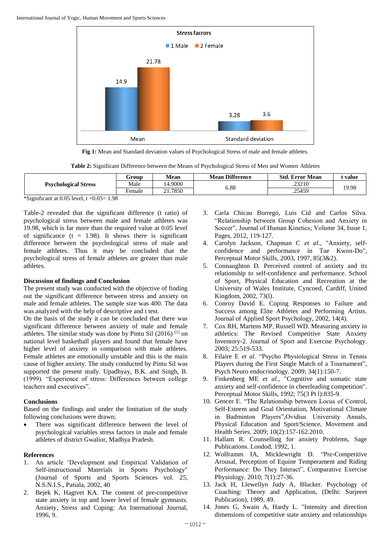

**Fig 1:** Mean and Standard deviation values of Psychological Stress of male and female athletes.

|  | Table 2: Significant Difference between the Means of Psychological Stress of Men and Women Athletes |  |
|--|-----------------------------------------------------------------------------------------------------|--|
|  |                                                                                                     |  |

|                             | Group  | Mean   | <b>Mean Difference</b> | Std.<br>. Error Mean | : value |  |
|-----------------------------|--------|--------|------------------------|----------------------|---------|--|
| <b>Psychological Stress</b> | Male   | 4.9000 | 6.88                   | .23210               |         |  |
|                             | Female | .7850  |                        | .25459               | 19.98   |  |

\*Significant at 0.05 level,  $t = 0.05 = 1.98$ 

Table-2 revealed that the significant difference (t ratio) of psychological stress between male and female athletes was 19.98, which is far more than the required value at 0.05 level of significance  $(t = 1.98)$ . It shows there is significant difference between the psychological stress of male and female athletes. Thus it may be concluded that the psychological stress of female athletes are greater than male athletes.

### **Discussion of findings and Conclusion**

The present study was conducted with the objective of finding out the significant difference between stress and anxiety on male and female athletes. The sample size was 400. The data was analyzed with the help of descriptive and t test.

On the basis of the study it can be concluded that there was significant difference between anxiety of male and female athletes. The similar study was done by Pintu Sil (2016) [1] on national level basketball players and found that female have higher level of anxiety in comparison with male athletes. Female athletes are emotionally unstable and this is the main cause of higher anxiety. The study conducted by Pintu Sil was supported the present study. Upadhyay, B.K. and Singh, B. (1999). "Experience of stress: Differences between college teachers and executives".

### **Conclusions**

Based on the findings and under the limitation of the study following conclusions were drawn;

 There was significant difference between the level of psychological variables stress factors in male and female athletes of district Gwalior, Madhya Pradesh.

### **References**

- 1. An article 'Development and Empirical Validation of Self-instructional Materials in Sports Psychology" (Journal of Sports and Sports Sciences vol. 25, N.S.N.I.S., Patiala, 2002, 40
- 2. Bejek K, Hagtvet KA. The content of pre-competitive state anxiety in top and lower level of female gymnasts. Anxiety, Stress and Coping: An International Journal, 1996, 9.
- 3. Carla Chicau Borrego, Luis Cid and Carlos Silva. "Relationship between Group Cohesion and Anxiety in Soccer", Journal of Human Kinetics; Volume 34, Issue 1, Pages, 2012, 119-127.
- 4. Carolyn Jackson, Chapman C *et al*., "Anxiety, selfconfidence and performance in Tae Kwon-Do", Perceptual Motor Skills, 2003, 1997, 85(3&2).
- 5. Connaughton D. Perceived control of anxiety and its relationship to self-confidence and performance. School of Sport, Physical Education and Recreation at the University of Wales Institute, Cyncoed, Cardiff, United Kingdom, 2002, 73(l).
- 6. Conroy David E. Coping Responses to Failure and Success among Elite Athletes and Performing Artists. Journal of Applied Sport Psychology, 2002, 14(4).
- 7. Cox RH, Martens MP, Russell WD. Measuring anxiety in athletics: The Revised Competitive State Anxiety Inventory-2. Journal of Sport and Exercise Psychology. 2003; 25:519-533.
- 8. Filaire E *et al*. "Psycho Physiological Stress in Tennis Players during the First Single Match of a Tournament", Psych Neuro endocrinology. 2009; 34(1):150-7.
- 9. Finkenberg ME *et al*., "Cognitive and somatic state anxiety and self-confidence in cheerleading competition". Perceptual Motor Skills, 1992; 75(3 Pt l):835-9.
- 10. Gencer E. "The Relationship between Locus of Control, Self-Esteem and Goal Orientation, Motivational Climate in Badminton Players",Ovidius University Annals, Physical Education and Sport/Science, Movement and Health Series. 2009; 10(2):157-162.2010.
- 11. Hallam R. Counselling for anxiety Problems, Sage Publications. Londod, 1992, 1.
- 12. Wolframm IA, Micklewright D. "Pre-Competitive Arousal, Perception of Equine Temperament and Riding Performance: Do They Interact", Comparative Exercise Physiology. 2010; 7(1):27-36.
- 13. Jack H, Llewellyn Judy A, Blucker. Psychology of Coaching: Theory and Application, (Delhi: Surjeeet Publication), 1989, 49.
- 14. Jones G, Swain A, Hardy L. "Intensity and direction dimensions of competitive state anxiety and relationships